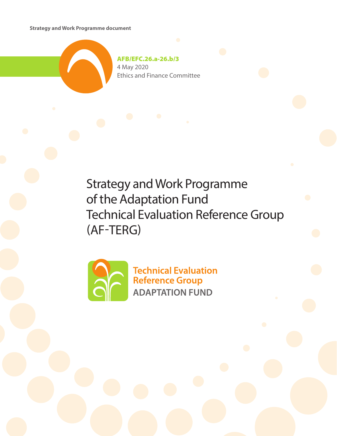**Strategy and Work Programme document**



AFB/EFC.26.a-26.b/3 4 May 2020 Ethics and Finance Committee

Strategy and Work Programme of the Adaptation Fund Technical Evaluation Reference Group (AF-TERG)



**Technical Evaluation Reference Group ADAPTATION FUND**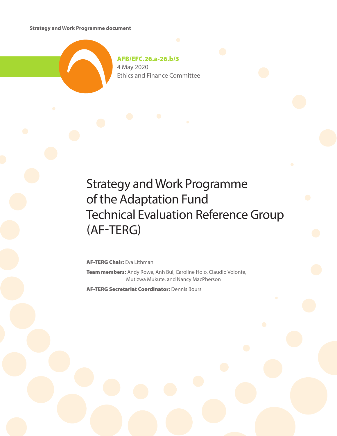**Strategy and Work Programme document**



AFB/EFC.26.a-26.b/3 4 May 2020 Ethics and Finance Committee

# Strategy and Work Programme of the Adaptation Fund Technical Evaluation Reference Group (AF-TERG)

AF-TERG Chair: Eva Lithman

Team members: Andy Rowe, Anh Bui, Caroline Holo, Claudio Volonte, Mutizwa Mukute, and Nancy MacPherson

AF-TERG Secretariat Coordinator: Dennis Bours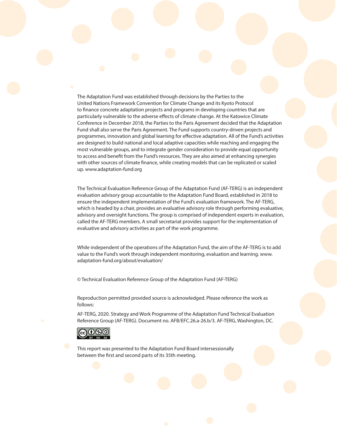The Adaptation Fund was established through decisions by the Parties to the United Nations Framework Convention for Climate Change and its Kyoto Protocol to finance concrete adaptation projects and programs in developing countries that are particularly vulnerable to the adverse effects of climate change. At the Katowice Climate Conference in December 2018, the Parties to the Paris Agreement decided that the Adaptation Fund shall also serve the Paris Agreement. The Fund supports country-driven projects and programmes, innovation and global learning for effective adaptation. All of the Fund's activities are designed to build national and local adaptive capacities while reaching and engaging the most vulnerable groups, and to integrate gender consideration to provide equal opportunity to access and benefit from the Fund's resources. They are also aimed at enhancing synergies with other sources of climate finance, while creating models that can be replicated or scaled up. www.adaptation-fund.org

The Technical Evaluation Reference Group of the Adaptation Fund (AF-TERG) is an independent evaluation advisory group accountable to the Adaptation Fund Board, established in 2018 to ensure the independent implementation of the Fund's evaluation framework. The AF-TERG, which is headed by a chair, provides an evaluative advisory role through performing evaluative, advisory and oversight functions. The group is comprised of independent experts in evaluation, called the AF-TERG members. A small secretariat provides support for the implementation of evaluative and advisory activities as part of the work programme.

While independent of the operations of the Adaptation Fund, the aim of the AF-TERG is to add value to the Fund's work through independent monitoring, evaluation and learning. www. adaptation-fund.org/about/evaluation/

© Technical Evaluation Reference Group of the Adaptation Fund (AF-TERG)

Reproduction permitted provided source is acknowledged. Please reference the work as follows:

AF-TERG, 2020. Strategy and Work Programme of the Adaptation Fund Technical Evaluation Reference Group (AF-TERG). Document no. AFB/EFC.26.a-26.b/3. AF-TERG, Washington, DC.



This report was presented to the Adaptation Fund Board intersessionally between the first and second parts of its 35th meeting.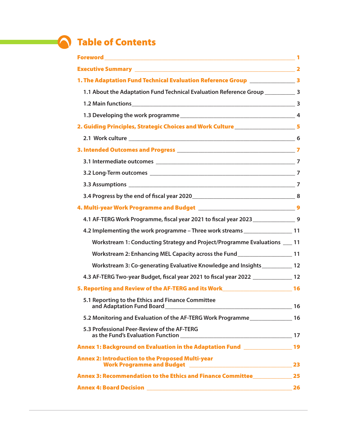# **Table of Contents**

| 1. The Adaptation Fund Technical Evaluation Reference Group ____________________ 3   |  |
|--------------------------------------------------------------------------------------|--|
| 1.1 About the Adaptation Fund Technical Evaluation Reference Group _____________ 3   |  |
|                                                                                      |  |
|                                                                                      |  |
| 2. Guiding Principles, Strategic Choices and Work Culture______________________5     |  |
|                                                                                      |  |
|                                                                                      |  |
|                                                                                      |  |
|                                                                                      |  |
|                                                                                      |  |
|                                                                                      |  |
|                                                                                      |  |
| 4.1 AF-TERG Work Programme, fiscal year 2021 to fiscal year 2023 ________________ 9  |  |
| 4.2 Implementing the work programme - Three work streams _______________________11   |  |
| Workstream 1: Conducting Strategy and Project/Programme Evaluations ___ 11           |  |
| Workstream 2: Enhancing MEL Capacity across the Fund____________________________11   |  |
| Workstream 3: Co-generating Evaluative Knowledge and Insights_____________ 12        |  |
| 4.3 AF-TERG Two-year Budget, fiscal year 2021 to fiscal year 2022 _______________ 12 |  |
| 5. Reporting and Review of the AF-TERG and its Work <b>Exercise 2018</b> 16          |  |
| 5.1 Reporting to the Ethics and Finance Committee                                    |  |
| 5.2 Monitoring and Evaluation of the AF-TERG Work Programme                          |  |
| 5.3 Professional Peer-Review of the AF-TERG                                          |  |
| Annex 1: Background on Evaluation in the Adaptation Fund <b>Exercise 2018</b> 19     |  |
| <b>Annex 2: Introduction to the Proposed Multi-year</b>                              |  |
| Annex 3: Recommendation to the Ethics and Finance Committee______________________ 25 |  |
|                                                                                      |  |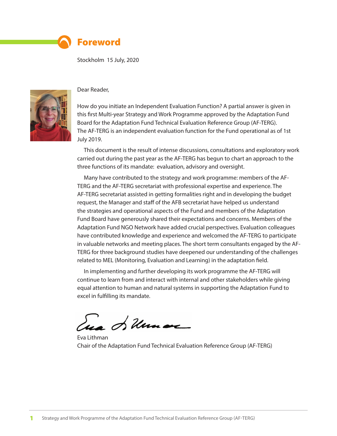

### Foreword

Stockholm 15 July, 2020



#### Dear Reader,

How do you initiate an Independent Evaluation Function? A partial answer is given in this first Multi-year Strategy and Work Programme approved by the Adaptation Fund Board for the Adaptation Fund Technical Evaluation Reference Group (AF-TERG). The AF-TERG is an independent evaluation function for the Fund operational as of 1st July 2019.

This document is the result of intense discussions, consultations and exploratory work carried out during the past year as the AF-TERG has begun to chart an approach to the three functions of its mandate: evaluation, advisory and oversight.

Many have contributed to the strategy and work programme: members of the AF-TERG and the AF-TERG secretariat with professional expertise and experience. The AF-TERG secretariat assisted in getting formalities right and in developing the budget request, the Manager and staff of the AFB secretariat have helped us understand the strategies and operational aspects of the Fund and members of the Adaptation Fund Board have generously shared their expectations and concerns. Members of the Adaptation Fund NGO Network have added crucial perspectives. Evaluation colleagues have contributed knowledge and experience and welcomed the AF-TERG to participate in valuable networks and meeting places. The short term consultants engaged by the AF-TERG for three background studies have deepened our understanding of the challenges related to MEL (Monitoring, Evaluation and Learning) in the adaptation field.

In implementing and further developing its work programme the AF-TERG will continue to learn from and interact with internal and other stakeholders while giving equal attention to human and natural systems in supporting the Adaptation Fund to excel in fulfilling its mandate.

Les Silvanore

Eva Lithman Chair of the Adaptation Fund Technical Evaluation Reference Group (AF-TERG)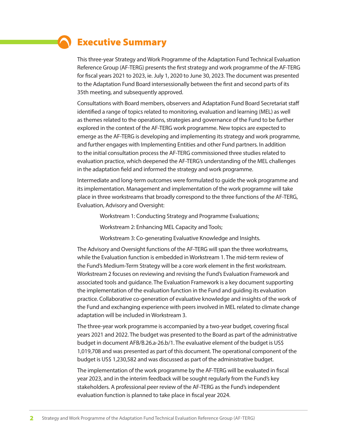# Executive Summary

This three-year Strategy and Work Programme of the Adaptation Fund Technical Evaluation Reference Group (AF-TERG) presents the first strategy and work programme of the AF-TERG for fiscal years 2021 to 2023, ie. July 1, 2020 to June 30, 2023. The document was presented to the Adaptation Fund Board intersessionally between the first and second parts of its 35th meeting, and subsequently approved.

Consultations with Board members, observers and Adaptation Fund Board Secretariat staff identified a range of topics related to monitoring, evaluation and learning (MEL) as well as themes related to the operations, strategies and governance of the Fund to be further explored in the context of the AF-TERG work programme. New topics are expected to emerge as the AF-TERG is developing and implementing its strategy and work programme, and further engages with Implementing Entities and other Fund partners. In addition to the initial consultation process the AF-TERG commissioned three studies related to evaluation practice, which deepened the AF-TERG's understanding of the MEL challenges in the adaptation field and informed the strategy and work programme.

Intermediate and long-term outcomes were formulated to guide the wok programme and its implementation. Management and implementation of the work programme will take place in three workstreams that broadly correspond to the three functions of the AF-TERG, Evaluation, Advisory and Oversight:

Workstream 1: Conducting Strategy and Programme Evaluations;

Workstream 2: Enhancing MEL Capacity and Tools;

Workstream 3: Co-generating Evaluative Knowledge and Insights.

The Advisory and Oversight functions of the AF-TERG will span the three workstreams, while the Evaluation function is embedded in Workstream 1. The mid-term review of the Fund's Medium-Term Strategy will be a core work element in the first workstream. Workstream 2 focuses on reviewing and revising the Fund's Evaluation Framework and associated tools and guidance. The Evaluation Framework is a key document supporting the implementation of the evaluation function in the Fund and guiding its evaluation practice. Collaborative co-generation of evaluative knowledge and insights of the work of the Fund and exchanging experience with peers involved in MEL related to climate change adaptation will be included in Workstream 3.

The three-year work programme is accompanied by a two-year budget, covering fiscal years 2021 and 2022. The budget was presented to the Board as part of the administrative budget in document AFB/B.26.a-26.b/1. The evaluative element of the budget is US\$ 1,019,708 and was presented as part of this document. The operational component of the budget is US\$ 1,230,582 and was discussed as part of the administrative budget.

The implementation of the work programme by the AF-TERG will be evaluated in fiscal year 2023, and in the interim feedback will be sought regularly from the Fund's key stakeholders. A professional peer review of the AF-TERG as the Fund's independent evaluation function is planned to take place in fiscal year 2024.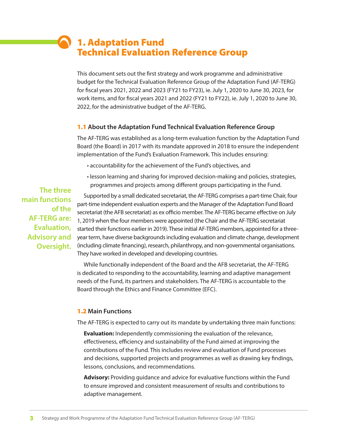# 1. Adaptation Fund Technical Evaluation Reference Group

This document sets out the first strategy and work programme and administrative budget for the Technical Evaluation Reference Group of the Adaptation Fund (AF-TERG) for fiscal years 2021, 2022 and 2023 (FY21 to FY23), ie. July 1, 2020 to June 30, 2023, for work items, and for fiscal years 2021 and 2022 (FY21 to FY22), ie. July 1, 2020 to June 30, 2022, for the administrative budget of the AF-TERG.

#### 1.1 **About the Adaptation Fund Technical Evaluation Reference Group**

The AF-TERG was established as a long-term evaluation function by the Adaptation Fund Board (the Board) in 2017 with its mandate approved in 2018 to ensure the independent implementation of the Fund's Evaluation Framework. This includes ensuring:

- accountability for the achievement of the Fund's objectives, and
- lesson learning and sharing for improved decision-making and policies, strategies, programmes and projects among different groups participating in the Fund.

**The three main functions of the AF-TERG are: Evaluation, Advisory and Oversight.** 

Supported by a small dedicated secretariat, the AF-TERG comprises a part-time Chair, four part-time independent evaluation experts and the Manager of the Adaptation Fund Board secretariat (the AFB secretariat) as ex officio member. The AF-TERG became effective on July 1, 2019 when the four members were appointed (the Chair and the AF-TERG secretariat started their functions earlier in 2019). These initial AF-TERG members, appointed for a threeyear term, have diverse backgrounds including evaluation and climate change, development (including climate financing), research, philanthropy, and non-governmental organisations. They have worked in developed and developing countries.

While functionally independent of the Board and the AFB secretariat, the AF-TERG is dedicated to responding to the accountability, learning and adaptive management needs of the Fund, its partners and stakeholders. The AF-TERG is accountable to the Board through the Ethics and Finance Committee (EFC).

#### 1.2 **Main Functions**

The AF-TERG is expected to carry out its mandate by undertaking three main functions:

**Evaluation:** Independently commissioning the evaluation of the relevance, effectiveness, efficiency and sustainability of the Fund aimed at improving the contributions of the Fund. This includes review and evaluation of Fund processes and decisions, supported projects and programmes as well as drawing key findings, lessons, conclusions, and recommendations.

**Advisory:** Providing guidance and advice for evaluative functions within the Fund to ensure improved and consistent measurement of results and contributions to adaptive management.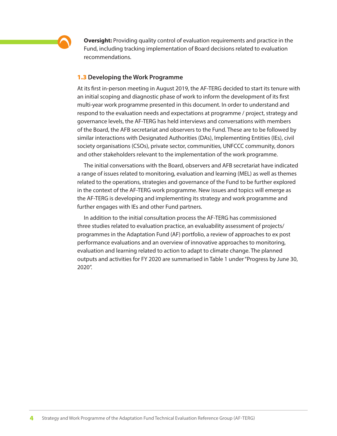

**Oversight:** Providing quality control of evaluation requirements and practice in the Fund, including tracking implementation of Board decisions related to evaluation recommendations.

#### 1.3 **Developing the Work Programme**

At its first in-person meeting in August 2019, the AF-TERG decided to start its tenure with an initial scoping and diagnostic phase of work to inform the development of its first multi-year work programme presented in this document. In order to understand and respond to the evaluation needs and expectations at programme / project, strategy and governance levels, the AF-TERG has held interviews and conversations with members of the Board, the AFB secretariat and observers to the Fund. These are to be followed by similar interactions with Designated Authorities (DAs), Implementing Entities (IEs), civil society organisations (CSOs), private sector, communities, UNFCCC community, donors and other stakeholders relevant to the implementation of the work programme.

The initial conversations with the Board, observers and AFB secretariat have indicated a range of issues related to monitoring, evaluation and learning (MEL) as well as themes related to the operations, strategies and governance of the Fund to be further explored in the context of the AF-TERG work programme. New issues and topics will emerge as the AF-TERG is developing and implementing its strategy and work programme and further engages with IEs and other Fund partners.

In addition to the initial consultation process the AF-TERG has commissioned three studies related to evaluation practice, an evaluability assessment of projects/ programmes in the Adaptation Fund (AF) portfolio, a review of approaches to ex post performance evaluations and an overview of innovative approaches to monitoring, evaluation and learning related to action to adapt to climate change. The planned outputs and activities for FY 2020 are summarised in Table 1 under "Progress by June 30, 2020".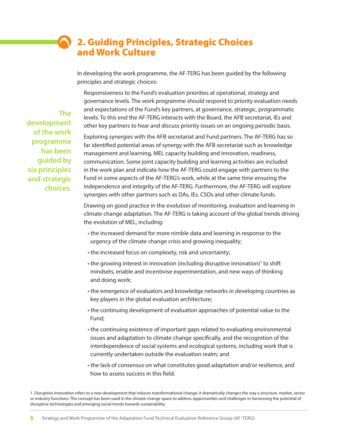# 2. Guiding Principles, Strategic Choices and Work Culture

In developing the work programme, the AF-TERG has been guided by the following principles and strategic choices:

Responsiveness to the Fund's evaluation priorities at operational, strategy and governance levels. The work programme should respond to priority evaluation needs and expectations of the Fund's key partners, at governance, strategic, programmatic levels. To this end the AF-TERG interacts with the Board, the AFB secretariat, IEs and other key partners to hear and discuss priority issues on an ongoing periodic basis.

Exploring synergies with the AFB secretariat and Fund partners. The AF-TERG has so far identified potential areas of synergy with the AFB secretariat such as knowledge management and learning, MEL capacity building and innovation, readiness, communication. Some joint capacity building and learning activities are included in the work plan and indicate how the AF-TERG could engage with partners to the Fund in some aspects of the AF-TERG's work, while at the same time ensuring the independence and integrity of the AF-TERG. Furthermore, the AF-TERG will explore synergies with other partners such as DAs, IEs, CSOs and other climate funds.

Drawing on good practice in the evolution of monitoring, evaluation and learning in climate change adaptation. The AF-TERG is taking account of the global trends driving the evolution of MEL, including:

- the increased demand for more nimble data and learning in response to the urgency of the climate change crisis and growing inequality;
- the increased focus on complexity, risk and uncertainty;
- $\cdot$  the growing interest in innovation (including disruptive innovation)<sup>1</sup> to shift mindsets, enable and incentivise experimentation, and new ways of thinking and doing work;
- the emergence of evaluators and knowledge networks in developing countries as key players in the global evaluation architecture;
- the continuing development of evaluation approaches of potential value to the Fund;
- the continuing existence of important gaps related to evaluating environmental issues and adaptation to climate change specifically, and the recognition of the interdependence of social systems and ecological systems, including work that is currently undertaken outside the evaluation realm; and
- the lack of consensus on what constitutes good adaptation and/or resilience, and how to assess success in this field.

**The development of the work programme has been guided by six principles and strategic choices.** 

<sup>1.</sup> Disruptive innovation refers to a new development that induces transformational change; it dramatically changes the way a structure, market, sector or industry functions. The concept has been used in the climate change space to address opportunities and challenges in harnessing the potential of disruptive technologies and emerging social trends towards sustainability.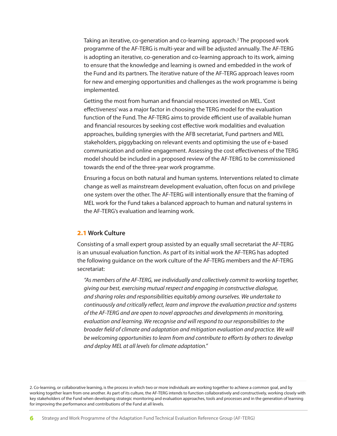Taking an iterative, co-generation and co-learning approach.<sup>2</sup> The proposed work programme of the AF-TERG is multi-year and will be adjusted annually. The AF-TERG is adopting an iterative, co-generation and co-learning approach to its work, aiming to ensure that the knowledge and learning is owned and embedded in the work of the Fund and its partners. The iterative nature of the AF-TERG approach leaves room for new and emerging opportunities and challenges as the work programme is being implemented.

Getting the most from human and financial resources invested on MEL. 'Cost effectiveness' was a major factor in choosing the TERG model for the evaluation function of the Fund. The AF-TERG aims to provide efficient use of available human and financial resources by seeking cost effective work modalities and evaluation approaches, building synergies with the AFB secretariat, Fund partners and MEL stakeholders, piggybacking on relevant events and optimising the use of e-based communication and online engagement. Assessing the cost effectiveness of the TERG model should be included in a proposed review of the AF-TERG to be commissioned towards the end of the three-year work programme.

Ensuring a focus on both natural and human systems. Interventions related to climate change as well as mainstream development evaluation, often focus on and privilege one system over the other. The AF-TERG will intentionally ensure that the framing of MEL work for the Fund takes a balanced approach to human and natural systems in the AF-TERG's evaluation and learning work.

### 2.1 **Work Culture**

Consisting of a small expert group assisted by an equally small secretariat the AF-TERG is an unusual evaluation function. As part of its initial work the AF-TERG has adopted the following guidance on the work culture of the AF-TERG members and the AF-TERG secretariat:

*"As members of the AF-TERG, we individually and collectively commit to working together, giving our best, exercising mutual respect and engaging in constructive dialogue, and sharing roles and responsibilities equitably among ourselves. We undertake to continuously and critically reflect, learn and improve the evaluation practice and systems of the AF-TERG and are open to novel approaches and developments in monitoring, evaluation and learning. We recognise and will respond to our responsibilities to the broader field of climate and adaptation and mitigation evaluation and practice. We will be welcoming opportunities to learn from and contribute to efforts by others to develop and deploy MEL at all levels for climate adaptation."*

<sup>2.</sup> Co-learning, or collaborative learning, is the process in which two or more individuals are working together to achieve a common goal, and by working together learn from one another. As part of its culture, the AF-TERG intends to function collaboratively and constructively, working closely with key stakeholders of the Fund when developing strategic monitoring and evaluation approaches, tools and processes and in the generation of learning for improving the performance and contributions of the Fund at all levels.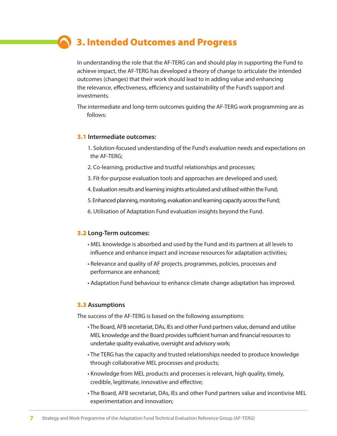# 3. Intended Outcomes and Progress

In understanding the role that the AF-TERG can and should play in supporting the Fund to achieve impact, the AF-TERG has developed a theory of change to articulate the intended outcomes (changes) that their work should lead to in adding value and enhancing the relevance, effectiveness, efficiency and sustainability of the Fund's support and investments.

The intermediate and long-term outcomes guiding the AF-TERG work programming are as follows:

#### 3.1 **Intermediate outcomes:**

- 1. Solution-focused understanding of the Fund's evaluation needs and expectations on the AF-TERG;
- 2. Co-learning, productive and trustful relationships and processes;
- 3. Fit-for-purpose evaluation tools and approaches are developed and used;
- 4. Evaluation results and learning insights articulated and utilised within the Fund;
- 5. Enhanced planning, monitoring, evaluation and learning capacity across the Fund;
- 6. Utilisation of Adaptation Fund evaluation insights beyond the Fund.

#### 3.2 **Long-Term outcomes:**

- MEL knowledge is absorbed and used by the Fund and its partners at all levels to influence and enhance impact and increase resources for adaptation activities;
- Relevance and quality of AF projects, programmes, policies, processes and performance are enhanced;
- Adaptation Fund behaviour to enhance climate change adaptation has improved.

#### 3.3 **Assumptions**

The success of the AF-TERG is based on the following assumptions:

- The Board, AFB secretariat, DAs, IEs and other Fund partners value, demand and utilise MEL knowledge and the Board provides sufficient human and financial resources to undertake quality evaluative, oversight and advisory work;
- The TERG has the capacity and trusted relationships needed to produce knowledge through collaborative MEL processes and products;
- Knowledge from MEL products and processes is relevant, high quality, timely, credible, legitimate, innovative and effective;
- The Board, AFB secretariat, DAs, IEs and other Fund partners value and incentivise MEL experimentation and innovation;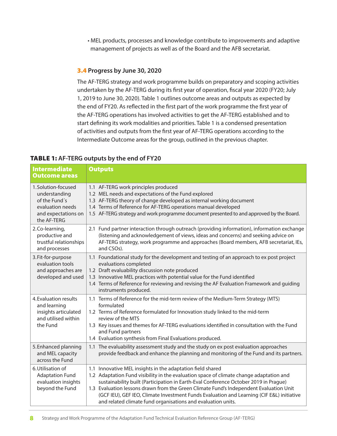• MEL products, processes and knowledge contribute to improvements and adaptive management of projects as well as of the Board and the AFB secretariat.

### 3.4 **Progress by June 30, 2020**

The AF-TERG strategy and work programme builds on preparatory and scoping activities undertaken by the AF-TERG during its first year of operation, fiscal year 2020 (FY20; July 1, 2019 to June 30, 2020). Table 1 outlines outcome areas and outputs as expected by the end of FY20. As reflected in the first part of the work programme the first year of the AF-TERG operations has involved activities to get the AF-TERG established and to start defining its work modalities and priorities. Table 1 is a condensed presentation of activities and outputs from the first year of AF-TERG operations according to the Intermediate Outcome areas for the group, outlined in the previous chapter.

### TABLE 1: **AF-TERG outputs by the end of FY20**

| <b>Intermediate</b><br><b>Outcome areas</b>                                                                    | <b>Outputs</b>                                                                                                                                                                                                                                                                                                                                                                                                                                                                                       |
|----------------------------------------------------------------------------------------------------------------|------------------------------------------------------------------------------------------------------------------------------------------------------------------------------------------------------------------------------------------------------------------------------------------------------------------------------------------------------------------------------------------------------------------------------------------------------------------------------------------------------|
| 1.Solution-focused<br>understanding<br>of the Fund's<br>evaluation needs<br>and expectations on<br>the AF-TERG | 1.1 AF-TERG work principles produced<br>1.2 MEL needs and expectations of the Fund explored<br>1.3 AF-TERG theory of change developed as internal working document<br>1.4 Terms of Reference for AF-TERG operations manual developed<br>1.5 AF-TERG strategy and work programme document presented to and approved by the Board.                                                                                                                                                                     |
| 2.Co-learning,<br>productive and<br>trustful relationships<br>and processes                                    | 2.1 Fund partner interaction through outreach (providing information), information exchange<br>(listening and acknowledgement of views, ideas and concerns) and seeking advice on<br>AF-TERG strategy, work programme and approaches (Board members, AFB secretariat, IEs,<br>and CSOs).                                                                                                                                                                                                             |
| 3. Fit-for-purpose<br>evaluation tools<br>and approaches are<br>developed and used                             | 1.1 Foundational study for the development and testing of an approach to ex post project<br>evaluations completed<br>1.2 Draft evaluability discussion note produced<br>1.3 Innovative MEL practices with potential value for the Fund identified<br>1.4 Terms of Reference for reviewing and revising the AF Evaluation Framework and guiding<br>instruments produced.                                                                                                                              |
| 4. Evaluation results<br>and learning<br>insights articulated<br>and utilised within<br>the Fund               | 1.1 Terms of Reference for the mid-term review of the Medium-Term Strategy (MTS)<br>formulated<br>1.2 Terms of Reference formulated for Innovation study linked to the mid-term<br>review of the MTS<br>1.3 Key issues and themes for AF-TERG evaluations identified in consultation with the Fund<br>and Fund partners<br>1.4 Evaluation synthesis from Final Evaluations produced.                                                                                                                 |
| 5. Enhanced planning<br>and MEL capacity<br>across the Fund                                                    | 1.1 The evaluability assessment study and the study on ex post evaluation approaches<br>provide feedback and enhance the planning and monitoring of the Fund and its partners.                                                                                                                                                                                                                                                                                                                       |
| 6. Utilisation of<br><b>Adaptation Fund</b><br>evaluation insights<br>beyond the Fund                          | 1.1 Innovative MEL insights in the adaptation field shared<br>1.2 Adaptation Fund visibility in the evaluation space of climate change adaptation and<br>sustainability built (Participation in Earth-Eval Conference October 2019 in Prague)<br>1.3 Evaluation lessons drawn from the Green Climate Fund's Independent Evaluation Unit<br>(GCF IEU), GEF IEO, Climate Investment Funds Evaluation and Learning (CIF E&L) initiative<br>and related climate fund organisations and evaluation units. |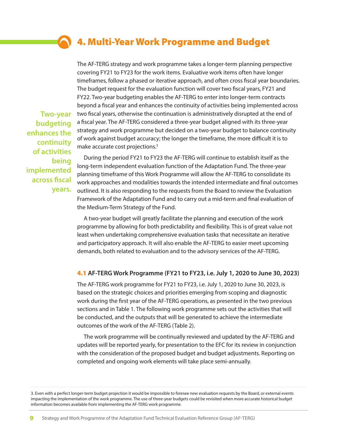# 4. Multi-Year Work Programme and Budget

The AF-TERG strategy and work programme takes a longer-term planning perspective covering FY21 to FY23 for the work items. Evaluative work items often have longer timeframes, follow a phased or iterative approach, and often cross fiscal year boundaries. The budget request for the evaluation function will cover two fiscal years, FY21 and FY22. Two-year budgeting enables the AF-TERG to enter into longer-term contracts beyond a fiscal year and enhances the continuity of activities being implemented across two fiscal years, otherwise the continuation is administratively disrupted at the end of a fiscal year. The AF-TERG considered a three-year budget aligned with its three-year strategy and work programme but decided on a two-year budget to balance continuity of work against budget accuracy; the longer the timeframe, the more difficult it is to make accurate cost projections.3

During the period FY21 to FY23 the AF-TERG will continue to establish itself as the long-term independent evaluation function of the Adaptation Fund. The three-year planning timeframe of this Work Programme will allow the AF-TERG to consolidate its work approaches and modalities towards the intended intermediate and final outcomes outlined. It is also responding to the requests from the Board to review the Evaluation Framework of the Adaptation Fund and to carry out a mid-term and final evaluation of the Medium-Term Strategy of the Fund.

A two-year budget will greatly facilitate the planning and execution of the work programme by allowing for both predictability and flexibility. This is of great value not least when undertaking comprehensive evaluation tasks that necessitate an iterative and participatory approach. It will also enable the AF-TERG to easier meet upcoming demands, both related to evaluation and to the advisory services of the AF-TERG.

#### 4.1 **AF-TERG Work Programme (FY21 to FY23, i.e. July 1, 2020 to June 30, 2023)**

The AF-TERG work programme for FY21 to FY23, i.e. July 1, 2020 to June 30, 2023, is based on the strategic choices and priorities emerging from scoping and diagnostic work during the first year of the AF-TERG operations, as presented in the two previous sections and in Table 1. The following work programme sets out the activities that will be conducted, and the outputs that will be generated to achieve the intermediate outcomes of the work of the AF-TERG (Table 2).

The work programme will be continually reviewed and updated by the AF-TERG and updates will be reported yearly, for presentation to the EFC for its review in conjunction with the consideration of the proposed budget and budget adjustments. Reporting on completed and ongoing work elements will take place semi-annually.

**9** Strategy and Work Programme of the Adaptation Fund Technical Evaluation Reference Group (AF-TERG)

**Two-year budgeting enhances the continuity of activities being implemented across fiscal years.**

<sup>3.</sup> Even with a perfect longer-term budget projection it would be impossible to foresee new evaluation requests by the Board, or external events impacting the implementation of the work programme. The use of three-year budgets could be revisited when more accurate historical budget information becomes available from implementing the AF-TERG work programme.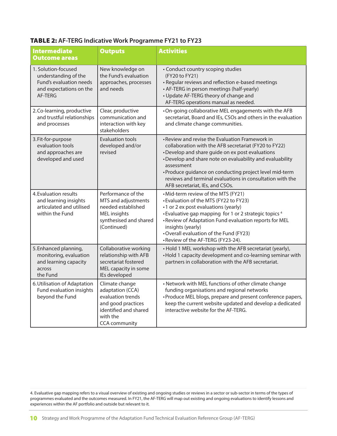| <b>TABLE 2: AF-TERG Indicative Work Programme FY21 to FY23</b> |  |
|----------------------------------------------------------------|--|
|----------------------------------------------------------------|--|

| <b>Intermediate</b><br><b>Outcome areas</b>                                                                  | <b>Outputs</b>                                                                                                                             | <b>Activities</b>                                                                                                                                                                                                                                                                                                                                                                                |
|--------------------------------------------------------------------------------------------------------------|--------------------------------------------------------------------------------------------------------------------------------------------|--------------------------------------------------------------------------------------------------------------------------------------------------------------------------------------------------------------------------------------------------------------------------------------------------------------------------------------------------------------------------------------------------|
|                                                                                                              |                                                                                                                                            |                                                                                                                                                                                                                                                                                                                                                                                                  |
| 1. Solution-focused<br>understanding of the<br>Fund's evaluation needs<br>and expectations on the<br>AF-TFRG | New knowledge on<br>the Fund's evaluation<br>approaches, processes<br>and needs                                                            | • Conduct country scoping studies<br>(FY20 to FY21)<br>• Regular reviews and reflection e-based meetings<br>• AF-TERG in person meetings (half-yearly)<br>• Update AF-TERG theory of change and<br>AF-TERG operations manual as needed.                                                                                                                                                          |
| 2. Co-learning, productive<br>and trustful relationships<br>and processes                                    | Clear, productive<br>communication and<br>interaction with key<br>stakeholders                                                             | . On-going collaborative MEL engagements with the AFB<br>secretariat, Board and IEs, CSOs and others in the evaluation<br>and climate change communities.                                                                                                                                                                                                                                        |
| 3. Fit-for-purpose<br>evaluation tools<br>and approaches are<br>developed and used                           | Evaluation tools<br>developed and/or<br>revised                                                                                            | • Review and revise the Evaluation Framework in<br>collaboration with the AFB secretariat (FY20 to FY22)<br>•Develop and share guide on ex post evaluations<br>•Develop and share note on evaluability and evaluability<br>assessment<br>· Produce guidance on conducting project level mid-term<br>reviews and terminal evaluations in consultation with the<br>AFB secretariat, IEs, and CSOs. |
| 4. Evaluation results<br>and learning insights<br>articulated and utilised<br>within the Fund                | Performance of the<br>MTS and adjustments<br>needed established<br><b>MEL</b> insights<br>synthesised and shared<br>(Continued)            | • Mid-term review of the MTS (FY21)<br>• Evaluation of the MTS (FY22 to FY23)<br>•1 or 2 ex post evaluations (yearly)<br>• Evaluative gap mapping for 1 or 2 strategic topics 4<br>. Review of Adaptation Fund evaluation reports for MEL<br>insights (yearly)<br>•Overall evaluation of the Fund (FY23)<br>• Review of the AF-TERG (FY23-24).                                                   |
| 5. Enhanced planning,<br>monitoring, evaluation<br>and learning capacity<br>across<br>the Fund               | Collaborative working<br>relationship with AFB<br>secretariat fostered<br>MEL capacity in some<br>IEs developed                            | • Hold 1 MEL workshop with the AFB secretariat (yearly),<br>• Hold 1 capacity development and co-learning seminar with<br>partners in collaboration with the AFB secretariat.                                                                                                                                                                                                                    |
| 6. Utilisation of Adaptation<br>Fund evaluation insights<br>beyond the Fund                                  | Climate change<br>adaptation (CCA)<br>evaluation trends<br>and good practices<br>identified and shared<br>with the<br><b>CCA</b> community | • Network with MEL functions of other climate change<br>funding organisations and regional networks<br>• Produce MEL blogs, prepare and present conference papers,<br>keep the current website updated and develop a dedicated<br>interactive website for the AF-TERG.                                                                                                                           |

4. Evaluative gap mapping refers to a visual overview of existing and ongoing studies or reviews in a sector or sub-sector in terms of the types of programmes evaluated and the outcomes measured. In FY21, the AF-TERG will map out existing and ongoing evaluations to identify lessons and experiences within the AF portfolio and outside but relevant to it.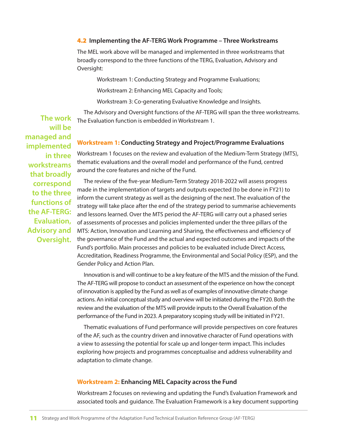#### 4.2 **Implementing the AF-TERG Work Programme – Three Workstreams**

The MEL work above will be managed and implemented in three workstreams that broadly correspond to the three functions of the TERG, Evaluation, Advisory and Oversight:

Workstream 1: Conducting Strategy and Programme Evaluations;

Workstream 2: Enhancing MEL Capacity and Tools;

Workstream 3: Co-generating Evaluative Knowledge and Insights.

The Advisory and Oversight functions of the AF-TERG will span the three workstreams. The Evaluation function is embedded in Workstream 1.

#### **Workstream 1: Conducting Strategy and Project/Programme Evaluations**

Workstream 1 focuses on the review and evaluation of the Medium-Term Strategy (MTS), thematic evaluations and the overall model and performance of the Fund, centred around the core features and niche of the Fund.

The review of the five-year Medium-Term Strategy 2018-2022 will assess progress made in the implementation of targets and outputs expected (to be done in FY21) to inform the current strategy as well as the designing of the next. The evaluation of the strategy will take place after the end of the strategy period to summarise achievements and lessons learned. Over the MTS period the AF-TERG will carry out a phased series of assessments of processes and policies implemented under the three pillars of the MTS: Action, Innovation and Learning and Sharing, the effectiveness and efficiency of the governance of the Fund and the actual and expected outcomes and impacts of the Fund's portfolio. Main processes and policies to be evaluated include Direct Access, Accreditation, Readiness Programme, the Environmental and Social Policy (ESP), and the Gender Policy and Action Plan.

Innovation is and will continue to be a key feature of the MTS and the mission of the Fund. The AF-TERG will propose to conduct an assessment of the experience on how the concept of innovation is applied by the Fund as well as of examples of innovative climate change actions. An initial conceptual study and overview will be initiated during the FY20. Both the review and the evaluation of the MTS will provide inputs to the Overall Evaluation of the performance of the Fund in 2023. A preparatory scoping study will be initiated in FY21.

Thematic evaluations of Fund performance will provide perspectives on core features of the AF, such as the country driven and innovative character of Fund operations with a view to assessing the potential for scale up and longer-term impact. This includes exploring how projects and programmes conceptualise and address vulnerability and adaptation to climate change.

#### **Workstream 2: Enhancing MEL Capacity across the Fund**

Workstream 2 focuses on reviewing and updating the Fund's Evaluation Framework and associated tools and guidance. The Evaluation Framework is a key document supporting

**The work will be managed and implemented in three workstreams that broadly correspond to the three functions of the AF-TERG: Evaluation, Advisory and Oversight.**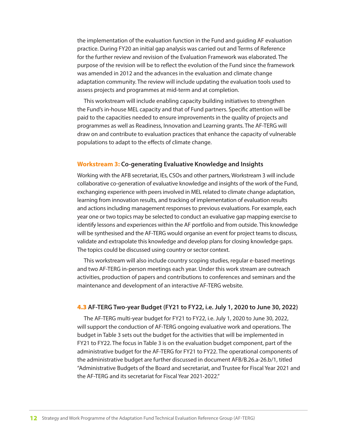the implementation of the evaluation function in the Fund and guiding AF evaluation practice. During FY20 an initial gap analysis was carried out and Terms of Reference for the further review and revision of the Evaluation Framework was elaborated. The purpose of the revision will be to reflect the evolution of the Fund since the framework was amended in 2012 and the advances in the evaluation and climate change adaptation community. The review will include updating the evaluation tools used to assess projects and programmes at mid-term and at completion.

This workstream will include enabling capacity building initiatives to strengthen the Fund's in-house MEL capacity and that of Fund partners. Specific attention will be paid to the capacities needed to ensure improvements in the quality of projects and programmes as well as Readiness, Innovation and Learning grants. The AF-TERG will draw on and contribute to evaluation practices that enhance the capacity of vulnerable populations to adapt to the effects of climate change.

#### **Workstream 3: Co-generating Evaluative Knowledge and Insights**

Working with the AFB secretariat, IEs, CSOs and other partners, Workstream 3 will include collaborative co-generation of evaluative knowledge and insights of the work of the Fund, exchanging experience with peers involved in MEL related to climate change adaptation, learning from innovation results, and tracking of implementation of evaluation results and actions including management responses to previous evaluations. For example, each year one or two topics may be selected to conduct an evaluative gap mapping exercise to identify lessons and experiences within the AF portfolio and from outside. This knowledge will be synthesised and the AF-TERG would organise an event for project teams to discuss, validate and extrapolate this knowledge and develop plans for closing knowledge gaps. The topics could be discussed using country or sector context.

This workstream will also include country scoping studies, regular e-based meetings and two AF-TERG in-person meetings each year. Under this work stream are outreach activities, production of papers and contributions to conferences and seminars and the maintenance and development of an interactive AF-TERG website.

#### 4.3 **AF-TERG Two-year Budget (FY21 to FY22, i.e. July 1, 2020 to June 30, 2022)**

The AF-TERG multi-year budget for FY21 to FY22, i.e. July 1, 2020 to June 30, 2022, will support the conduction of AF-TERG ongoing evaluative work and operations. The budget in Table 3 sets out the budget for the activities that will be implemented in FY21 to FY22. The focus in Table 3 is on the evaluation budget component, part of the administrative budget for the AF-TERG for FY21 to FY22. The operational components of the administrative budget are further discussed in document AFB/B.26.a-26.b/1, titled "Administrative Budgets of the Board and secretariat, and Trustee for Fiscal Year 2021 and the AF-TERG and its secretariat for Fiscal Year 2021-2022."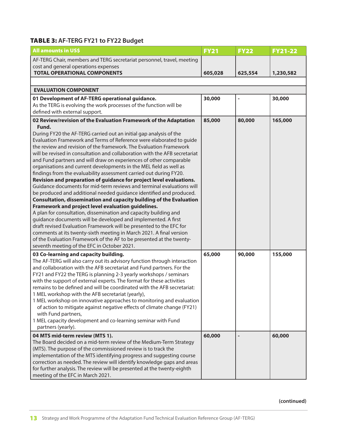### TABLE 3: **AF-TERG FY21 to FY22 Budget**

| <b>All amounts in US\$</b>                                                                                                                                                                                                                                                                                                                                                                                                                                                                                                                                                                                                                                                                                                                                                                                                                                                                                                                                                                                                                                                                | <b>FY21</b> | <b>FY22</b> | <b>FY21-22</b> |
|-------------------------------------------------------------------------------------------------------------------------------------------------------------------------------------------------------------------------------------------------------------------------------------------------------------------------------------------------------------------------------------------------------------------------------------------------------------------------------------------------------------------------------------------------------------------------------------------------------------------------------------------------------------------------------------------------------------------------------------------------------------------------------------------------------------------------------------------------------------------------------------------------------------------------------------------------------------------------------------------------------------------------------------------------------------------------------------------|-------------|-------------|----------------|
| AF-TERG Chair, members and TERG secretariat personnel, travel, meeting<br>cost and general operations expenses<br><b>TOTAL OPERATIONAL COMPONENTS</b>                                                                                                                                                                                                                                                                                                                                                                                                                                                                                                                                                                                                                                                                                                                                                                                                                                                                                                                                     | 605,028     | 625,554     | 1,230,582      |
|                                                                                                                                                                                                                                                                                                                                                                                                                                                                                                                                                                                                                                                                                                                                                                                                                                                                                                                                                                                                                                                                                           |             |             |                |
| <b>EVALUATION COMPONENT</b>                                                                                                                                                                                                                                                                                                                                                                                                                                                                                                                                                                                                                                                                                                                                                                                                                                                                                                                                                                                                                                                               |             |             |                |
| 01 Development of AF-TERG operational guidance.<br>As the TERG is evolving the work processes of the function will be                                                                                                                                                                                                                                                                                                                                                                                                                                                                                                                                                                                                                                                                                                                                                                                                                                                                                                                                                                     | 30,000      |             | 30,000         |
| defined with external support.<br>02 Review/revision of the Evaluation Framework of the Adaptation                                                                                                                                                                                                                                                                                                                                                                                                                                                                                                                                                                                                                                                                                                                                                                                                                                                                                                                                                                                        | 85,000      | 80,000      | 165,000        |
| Fund.<br>During FY20 the AF-TERG carried out an initial gap analysis of the<br>Evaluation Framework and Terms of Reference were elaborated to guide<br>the review and revision of the framework. The Evaluation Framework<br>will be revised in consultation and collaboration with the AFB secretariat<br>and Fund partners and will draw on experiences of other comparable<br>organisations and current developments in the MEL field as well as<br>findings from the evaluability assessment carried out during FY20.<br>Revision and preparation of guidance for project level evaluations.<br>Guidance documents for mid-term reviews and terminal evaluations will<br>be produced and additional needed guidance identified and produced.<br>Consultation, dissemination and capacity building of the Evaluation<br>Framework and project level evaluation guidelines.<br>A plan for consultation, dissemination and capacity building and<br>guidance documents will be developed and implemented. A first<br>draft revised Evaluation Framework will be presented to the EFC for |             |             |                |
| comments at its twenty-sixth meeting in March 2021. A final version<br>of the Evaluation Framework of the AF to be presented at the twenty-<br>seventh meeting of the EFC in October 2021.                                                                                                                                                                                                                                                                                                                                                                                                                                                                                                                                                                                                                                                                                                                                                                                                                                                                                                |             |             |                |
| 03 Co-learning and capacity building.<br>The AF-TERG will also carry out its advisory function through interaction<br>and collaboration with the AFB secretariat and Fund partners. For the<br>FY21 and FY22 the TERG is planning 2-3 yearly workshops / seminars<br>with the support of external experts. The format for these activities<br>remains to be defined and will be coordinated with the AFB secretariat:<br>1 MEL workshop with the AFB secretariat (yearly),<br>1 MEL workshop on innovative approaches to monitoring and evaluation<br>of action to mitigate against negative effects of climate change (FY21)<br>with Fund partners,<br>1 MEL capacity development and co-learning seminar with Fund<br>partners (yearly).                                                                                                                                                                                                                                                                                                                                                | 65,000      | 90,000      | 155,000        |
| 04 MTS mid-term review (MTS 1).<br>The Board decided on a mid-term review of the Medium-Term Strategy<br>(MTS). The purpose of the commissioned review is to track the<br>implementation of the MTS identifying progress and suggesting course<br>correction as needed. The review will identify knowledge gaps and areas<br>for further analysis. The review will be presented at the twenty-eighth<br>meeting of the EFC in March 2021.                                                                                                                                                                                                                                                                                                                                                                                                                                                                                                                                                                                                                                                 | 60,000      |             | 60,000         |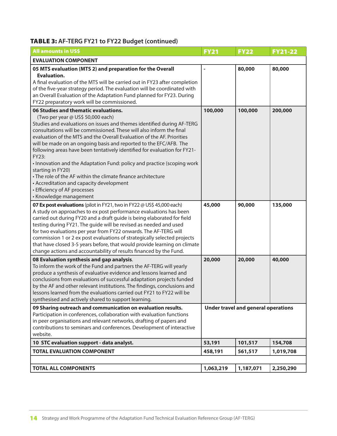### TABLE 3: **AF-TERG FY21 to FY22 Budget (continued)**

| <b>All amounts in US\$</b>                                                                                                                                                                                                                                                                                                                                                                                                                                                                                                                                                                                                                                                                                                             | <b>FY21</b> | <b>FY22</b>                                | <b>FY21-22</b> |
|----------------------------------------------------------------------------------------------------------------------------------------------------------------------------------------------------------------------------------------------------------------------------------------------------------------------------------------------------------------------------------------------------------------------------------------------------------------------------------------------------------------------------------------------------------------------------------------------------------------------------------------------------------------------------------------------------------------------------------------|-------------|--------------------------------------------|----------------|
| <b>EVALUATION COMPONENT</b>                                                                                                                                                                                                                                                                                                                                                                                                                                                                                                                                                                                                                                                                                                            |             |                                            |                |
| 05 MTS evaluation (MTS 2) and preparation for the Overall<br><b>Evaluation.</b><br>A final evaluation of the MTS will be carried out in FY23 after completion<br>of the five-year strategy period. The evaluation will be coordinated with<br>an Overall Evaluation of the Adaptation Fund planned for FY23. During<br>FY22 preparatory work will be commissioned.                                                                                                                                                                                                                                                                                                                                                                     |             | 80,000                                     | 80,000         |
| 06 Studies and thematic evaluations.<br>(Two per year @ US\$ 50,000 each)<br>Studies and evaluations on issues and themes identified during AF-TERG<br>consultations will be commissioned. These will also inform the final<br>evaluation of the MTS and the Overall Evaluation of the AF. Priorities<br>will be made on an ongoing basis and reported to the EFC/AFB. The<br>following areas have been tentatively identified for evaluation for FY21-<br>FY23:<br>. Innovation and the Adaptation Fund: policy and practice (scoping work<br>starting in FY20)<br>• The role of the AF within the climate finance architecture<br>• Accreditation and capacity development<br>• Efficiency of AF processes<br>• Knowledge management | 100,000     | 100,000                                    | 200,000        |
| 07 Ex post evaluations (pilot in FY21, two in FY22 @ US\$ 45,000 each)<br>A study on approaches to ex post performance evaluations has been<br>carried out during FY20 and a draft guide is being elaborated for field<br>testing during FY21. The guide will be revised as needed and used<br>for two evaluations per year from FY22 onwards. The AF-TERG will<br>commission 1 or 2 ex post evaluations of strategically selected projects<br>that have closed 3-5 years before, that would provide learning on climate<br>change actions and accountability of results financed by the Fund.                                                                                                                                         | 45,000      | 90,000                                     | 135,000        |
| 08 Evaluation synthesis and gap analysis.<br>To inform the work of the Fund and partners the AF-TERG will yearly<br>produce a synthesis of evaluative evidence and lessons learned and<br>conclusions from evaluations of successful adaptation projects funded<br>by the AF and other relevant institutions. The findings, conclusions and<br>lessons learned from the evaluations carried out FY21 to FY22 will be<br>synthesised and actively shared to support learning.                                                                                                                                                                                                                                                           | 20,000      | 20,000                                     | 40,000         |
| 09 Sharing outreach and communication on evaluation results.<br>Participation in conferences, collaboration with evaluation functions<br>in peer organisations and relevant networks, drafting of papers and<br>contributions to seminars and conferences. Development of interactive<br>website.                                                                                                                                                                                                                                                                                                                                                                                                                                      |             | <b>Under travel and general operations</b> |                |
| 10 STC evaluation support - data analyst.                                                                                                                                                                                                                                                                                                                                                                                                                                                                                                                                                                                                                                                                                              | 53,191      | 101,517                                    | 154,708        |
| <b>TOTAL EVALUATION COMPONENT</b>                                                                                                                                                                                                                                                                                                                                                                                                                                                                                                                                                                                                                                                                                                      | 458,191     | 561,517                                    | 1,019,708      |
|                                                                                                                                                                                                                                                                                                                                                                                                                                                                                                                                                                                                                                                                                                                                        |             |                                            |                |
| <b>TOTAL ALL COMPONENTS</b>                                                                                                                                                                                                                                                                                                                                                                                                                                                                                                                                                                                                                                                                                                            | 1,063,219   | 1,187,071                                  | 2,250,290      |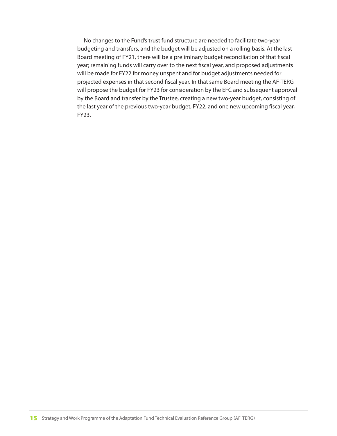No changes to the Fund's trust fund structure are needed to facilitate two-year budgeting and transfers, and the budget will be adjusted on a rolling basis. At the last Board meeting of FY21, there will be a preliminary budget reconciliation of that fiscal year; remaining funds will carry over to the next fiscal year, and proposed adjustments will be made for FY22 for money unspent and for budget adjustments needed for projected expenses in that second fiscal year. In that same Board meeting the AF-TERG will propose the budget for FY23 for consideration by the EFC and subsequent approval by the Board and transfer by the Trustee, creating a new two-year budget, consisting of the last year of the previous two-year budget, FY22, and one new upcoming fiscal year, FY23.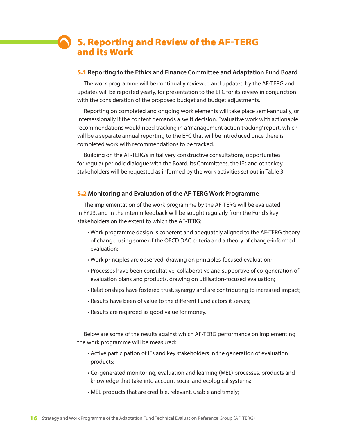## 5. Reporting and Review of the AF-TERG and its Work

#### 5.1 **Reporting to the Ethics and Finance Committee and Adaptation Fund Board**

The work programme will be continually reviewed and updated by the AF-TERG and updates will be reported yearly, for presentation to the EFC for its review in conjunction with the consideration of the proposed budget and budget adjustments.

Reporting on completed and ongoing work elements will take place semi-annually, or intersessionally if the content demands a swift decision. Evaluative work with actionable recommendations would need tracking in a 'management action tracking' report, which will be a separate annual reporting to the EFC that will be introduced once there is completed work with recommendations to be tracked.

Building on the AF-TERG's initial very constructive consultations, opportunities for regular periodic dialogue with the Board, its Committees, the IEs and other key stakeholders will be requested as informed by the work activities set out in Table 3.

#### 5.2 **Monitoring and Evaluation of the AF-TERG Work Programme**

The implementation of the work programme by the AF-TERG will be evaluated in FY23, and in the interim feedback will be sought regularly from the Fund's key stakeholders on the extent to which the AF-TERG:

- Work programme design is coherent and adequately aligned to the AF-TERG theory of change, using some of the OECD DAC criteria and a theory of change-informed evaluation;
- Work principles are observed, drawing on principles-focused evaluation;
- Processes have been consultative, collaborative and supportive of co-generation of evaluation plans and products, drawing on utilisation-focused evaluation;
- Relationships have fostered trust, synergy and are contributing to increased impact;
- Results have been of value to the different Fund actors it serves;
- Results are regarded as good value for money.

Below are some of the results against which AF-TERG performance on implementing the work programme will be measured:

- Active participation of IEs and key stakeholders in the generation of evaluation products;
- Co-generated monitoring, evaluation and learning (MEL) processes, products and knowledge that take into account social and ecological systems;
- MEL products that are credible, relevant, usable and timely;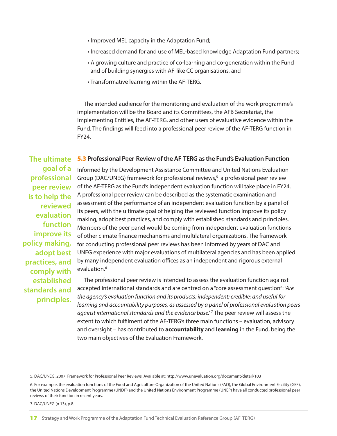- Improved MEL capacity in the Adaptation Fund;
- Increased demand for and use of MEL-based knowledge Adaptation Fund partners;
- A growing culture and practice of co-learning and co-generation within the Fund and of building synergies with AF-like CC organisations, and
- Transformative learning within the AF-TERG.

The intended audience for the monitoring and evaluation of the work programme's implementation will be the Board and its Committees, the AFB Secretariat, the Implementing Entities, the AF-TERG, and other users of evaluative evidence within the Fund. The findings will feed into a professional peer review of the AF-TERG function in FY24.

#### 5.3 **Professional Peer-Review of the AF-TERG as the Fund's Evaluation Function The ultimate**

**goal of a professional peer review is to help the reviewed evaluation function improve its policy making, adopt best practices, and comply with established standards and principles.**

Informed by the Development Assistance Committee and United Nations Evaluation Group (DAC/UNEG) framework for professional reviews,<sup>5</sup> a professional peer review of the AF-TERG as the Fund's independent evaluation function will take place in FY24. A professional peer review can be described as the systematic examination and assessment of the performance of an independent evaluation function by a panel of its peers, with the ultimate goal of helping the reviewed function improve its policy making, adopt best practices, and comply with established standards and principles. Members of the peer panel would be coming from independent evaluation functions of other climate finance mechanisms and multilateral organizations. The framework for conducting professional peer reviews has been informed by years of DAC and UNEG experience with major evaluations of multilateral agencies and has been applied by many independent evaluation offices as an independent and rigorous external evaluation.<sup>6</sup>

The professional peer review is intended to assess the evaluation function against accepted international standards and are centred on a "core assessment question": *'Are the agency's evaluation function and its products: independent; credible; and useful for learning and accountability purposes, as assessed by a panel of professional evaluation peers against international standards and the evidence base.'* <sup>7</sup> The peer review will assess the extent to which fulfilment of the AF-TERG's three main functions – evaluation, advisory and oversight – has contributed to **accountability** and **learning** in the Fund, being the two main objectives of the Evaluation Framework.

7. DAC/UNEG (n 13), p.8.

<sup>5.</sup> DAC/UNEG. 2007. Framework for Professional Peer Reviews. Available at: http://www.unevaluation.org/document/detail/103

<sup>6.</sup> For example, the evaluation functions of the Food and Agriculture Organization of the United Nations (FAO), the Global Environment Facility (GEF), the United Nations Development Programme (UNDP) and the United Nations Environment Programme (UNEP) have all conducted professional peer reviews of their function in recent years.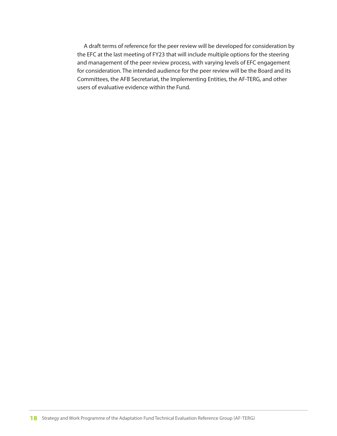A draft terms of reference for the peer review will be developed for consideration by the EFC at the last meeting of FY23 that will include multiple options for the steering and management of the peer review process, with varying levels of EFC engagement for consideration. The intended audience for the peer review will be the Board and its Committees, the AFB Secretariat, the Implementing Entities, the AF-TERG, and other users of evaluative evidence within the Fund.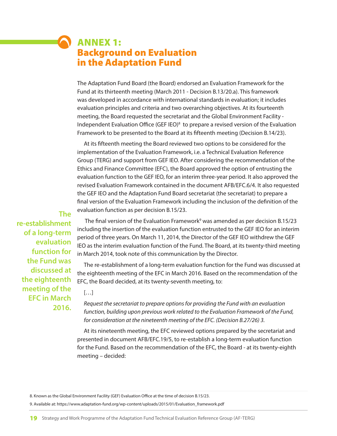### Background on Evaluation in the Adaptation Fund ANNEX 1:

The Adaptation Fund Board (the Board) endorsed an Evaluation Framework for the Fund at its thirteenth meeting (March 2011 - Decision B.13/20.a). This framework was developed in accordance with international standards in evaluation; it includes evaluation principles and criteria and two overarching objectives. At its fourteenth meeting, the Board requested the secretariat and the Global Environment Facility - Independent Evaluation Office (GEF IEO)<sup>8</sup> to prepare a revised version of the Evaluation Framework to be presented to the Board at its fifteenth meeting (Decision B.14/23).

At its fifteenth meeting the Board reviewed two options to be considered for the implementation of the Evaluation Framework, i.e. a Technical Evaluation Reference Group (TERG) and support from GEF IEO. After considering the recommendation of the Ethics and Finance Committee (EFC), the Board approved the option of entrusting the evaluation function to the GEF IEO, for an interim three-year period. It also approved the revised Evaluation Framework contained in the document AFB/EFC.6/4. It also requested the GEF IEO and the Adaptation Fund Board secretariat (the secretariat) to prepare a final version of the Evaluation Framework including the inclusion of the definition of the evaluation function as per decision B.15/23.

**The re-establishment of a long-term evaluation function for the Fund was discussed at the eighteenth meeting of the EFC in March 2016.**

The final version of the Evaluation Framework<sup>9</sup> was amended as per decision B.15/23 including the insertion of the evaluation function entrusted to the GEF IEO for an interim period of three years. On March 11, 2014, the Director of the GEF IEO withdrew the GEF IEO as the interim evaluation function of the Fund. The Board, at its twenty-third meeting in March 2014, took note of this communication by the Director.

The re-establishment of a long-term evaluation function for the Fund was discussed at the eighteenth meeting of the EFC in March 2016. Based on the recommendation of the EFC, the Board decided, at its twenty-seventh meeting, to:

#### $[\ldots]$

*Request the secretariat to prepare options for providing the Fund with an evaluation function, building upon previous work related to the Evaluation Framework of the Fund, for consideration at the nineteenth meeting of the EFC. (Decision B.27/26) 3.* 

At its nineteenth meeting, the EFC reviewed options prepared by the secretariat and presented in document AFB/EFC.19/5, to re-establish a long-term evaluation function for the Fund. Based on the recommendation of the EFC, the Board - at its twenty-eighth meeting – decided:

8. Known as the Global Environment Facility (GEF) Evaluation Office at the time of decision B.15/23.

9. Available at: https://www.adaptation-fund.org/wp-content/uploads/2015/01/Evaluation\_framework.pdf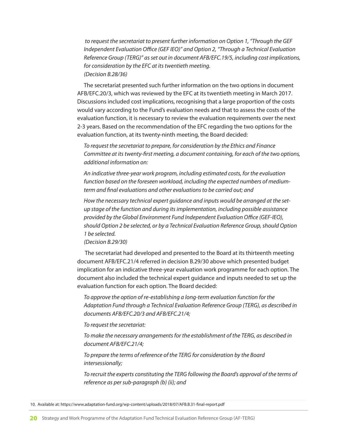*to request the secretariat to present further information on Option 1, "Through the GEF Independent Evaluation Office (GEF IEO)" and Option 2, "Through a Technical Evaluation Reference Group (TERG)" as set out in document AFB/EFC.19/5, including cost implications, for consideration by the EFC at its twentieth meeting. (Decision B.28/36)* 

The secretariat presented such further information on the two options in document AFB/EFC.20/3, which was reviewed by the EFC at its twentieth meeting in March 2017. Discussions included cost implications, recognising that a large proportion of the costs would vary according to the Fund's evaluation needs and that to assess the costs of the evaluation function, it is necessary to review the evaluation requirements over the next 2-3 years. Based on the recommendation of the EFC regarding the two options for the evaluation function, at its twenty-ninth meeting, the Board decided:

*To request the secretariat to prepare, for consideration by the Ethics and Finance Committee at its twenty-first meeting, a document containing, for each of the two options, additional information on:*

*An indicative three-year work program, including estimated costs, for the evaluation function based on the foreseen workload, including the expected numbers of mediumterm and final evaluations and other evaluations to be carried out; and*

*How the necessary technical expert guidance and inputs would be arranged at the setup stage of the function and during its implementation, including possible assistance provided by the Global Environment Fund Independent Evaluation Office (GEF-IEO), should Option 2 be selected, or by a Technical Evaluation Reference Group, should Option 1 be selected.* 

*(Decision B.29/30)*

 The secretariat had developed and presented to the Board at its thirteenth meeting document AFB/EFC.21/4 referred in decision B.29/30 above which presented budget implication for an indicative three-year evaluation work programme for each option. The document also included the technical expert guidance and inputs needed to set up the evaluation function for each option. The Board decided:

*To approve the option of re-establishing a long-term evaluation function for the Adaptation Fund through a Technical Evaluation Reference Group (TERG), as described in documents AFB/EFC.20/3 and AFB/EFC.21/4;* 

*To request the secretariat:*

*To make the necessary arrangements for the establishment of the TERG, as described in document AFB/EFC.21/4;*

*To prepare the terms of reference of the TERG for consideration by the Board intersessionally;*

*To recruit the experts constituting the TERG following the Board's approval of the terms of reference as per sub-paragraph (b) (ii); and*

10. Available at: https://www.adaptation-fund.org/wp-content/uploads/2018/07/AFB.B.31-final-report.pdf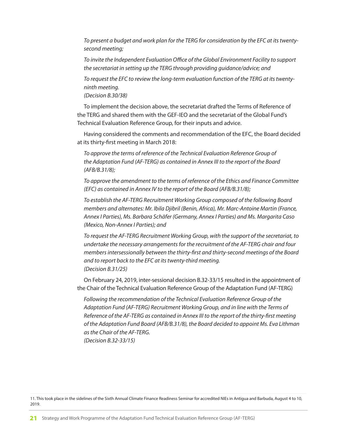*To present a budget and work plan for the TERG for consideration by the EFC at its twentysecond meeting;*

*To invite the Independent Evaluation Office of the Global Environment Facility to support the secretariat in setting up the TERG through providing guidance/advice; and*

*To request the EFC to review the long-term evaluation function of the TERG at its twentyninth meeting.*

*(Decision B.30/38)*

To implement the decision above, the secretariat drafted the Terms of Reference of the TERG and shared them with the GEF-IEO and the secretariat of the Global Fund's Technical Evaluation Reference Group, for their inputs and advice.

Having considered the comments and recommendation of the EFC, the Board decided at its thirty-first meeting in March 2018:

*To approve the terms of reference of the Technical Evaluation Reference Group of the Adaptation Fund (AF-TERG) as contained in Annex III to the report of the Board (AFB/B.31/8);* 

*To approve the amendment to the terms of reference of the Ethics and Finance Committee (EFC) as contained in Annex IV to the report of the Board (AFB/B.31/8);*

*To establish the AF-TERG Recruitment Working Group composed of the following Board members and alternates: Mr. Ibila Djibril (Benin, Africa), Mr. Marc-Antoine Martin (France, Annex I Parties), Ms. Barbara Schäfer (Germany, Annex I Parties) and Ms. Margarita Caso (Mexico, Non-Annex I Parties); and*

*To request the AF-TERG Recruitment Working Group, with the support of the secretariat, to undertake the necessary arrangements for the recruitment of the AF-TERG chair and four members intersessionally between the thirty-first and thirty-second meetings of the Board and to report back to the EFC at its twenty-third meeting. (Decision B.31/25)*

On February 24, 2019, inter-sessional decision B.32-33/15 resulted in the appointment of the Chair of the Technical Evaluation Reference Group of the Adaptation Fund (AF-TERG)

*Following the recommendation of the Technical Evaluation Reference Group of the Adaptation Fund (AF-TERG) Recruitment Working Group, and in line with the Terms of Reference of the AF-TERG as contained in Annex III to the report of the thirty-first meeting of the Adaptation Fund Board (AFB/B.31/8), the Board decided to appoint Ms. Eva Lithman as the Chair of the AF-TERG. (Decision B.32-33/15)*

<sup>11.</sup> This took place in the sidelines of the Sixth Annual Climate Finance Readiness Seminar for accredited NIEs in Antigua and Barbuda, August 4 to 10, 2019.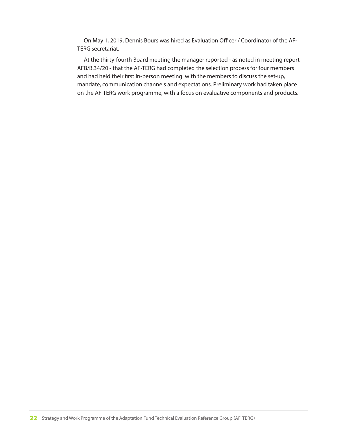On May 1, 2019, Dennis Bours was hired as Evaluation Officer / Coordinator of the AF-TERG secretariat.

At the thirty-fourth Board meeting the manager reported - as noted in meeting report AFB/B.34/20 - that the AF-TERG had completed the selection process for four members and had held their first in-person meeting with the members to discuss the set-up, mandate, communication channels and expectations. Preliminary work had taken place on the AF-TERG work programme, with a focus on evaluative components and products.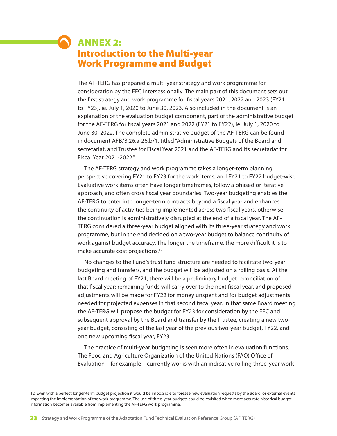## Introduction to the Multi-year Work Programme and Budget ANNEX 2:

The AF-TERG has prepared a multi-year strategy and work programme for consideration by the EFC intersessionally. The main part of this document sets out the first strategy and work programme for fiscal years 2021, 2022 and 2023 (FY21 to FY23), ie. July 1, 2020 to June 30, 2023. Also included in the document is an explanation of the evaluation budget component, part of the administrative budget for the AF-TERG for fiscal years 2021 and 2022 (FY21 to FY22), ie. July 1, 2020 to June 30, 2022. The complete administrative budget of the AF-TERG can be found in document AFB/B.26.a-26.b/1, titled "Administrative Budgets of the Board and secretariat, and Trustee for Fiscal Year 2021 and the AF-TERG and its secretariat for Fiscal Year 2021-2022."

The AF-TERG strategy and work programme takes a longer-term planning perspective covering FY21 to FY23 for the work items, and FY21 to FY22 budget-wise. Evaluative work items often have longer timeframes, follow a phased or iterative approach, and often cross fiscal year boundaries. Two-year budgeting enables the AF-TERG to enter into longer-term contracts beyond a fiscal year and enhances the continuity of activities being implemented across two fiscal years, otherwise the continuation is administratively disrupted at the end of a fiscal year. The AF-TERG considered a three-year budget aligned with its three-year strategy and work programme, but in the end decided on a two-year budget to balance continuity of work against budget accuracy. The longer the timeframe, the more difficult it is to make accurate cost projections.12

No changes to the Fund's trust fund structure are needed to facilitate two-year budgeting and transfers, and the budget will be adjusted on a rolling basis. At the last Board meeting of FY21, there will be a preliminary budget reconciliation of that fiscal year; remaining funds will carry over to the next fiscal year, and proposed adjustments will be made for FY22 for money unspent and for budget adjustments needed for projected expenses in that second fiscal year. In that same Board meeting the AF-TERG will propose the budget for FY23 for consideration by the EFC and subsequent approval by the Board and transfer by the Trustee, creating a new twoyear budget, consisting of the last year of the previous two-year budget, FY22, and one new upcoming fiscal year, FY23.

The practice of multi-year budgeting is seen more often in evaluation functions. The Food and Agriculture Organization of the United Nations (FAO) Office of Evaluation – for example – currently works with an indicative rolling three-year work

12. Even with a perfect longer-term budget projection it would be impossible to foresee new evaluation requests by the Board, or external events impacting the implementation of the work programme. The use of three-year budgets could be revisited when more accurate historical budget information becomes available from implementing the AF-TERG work programme.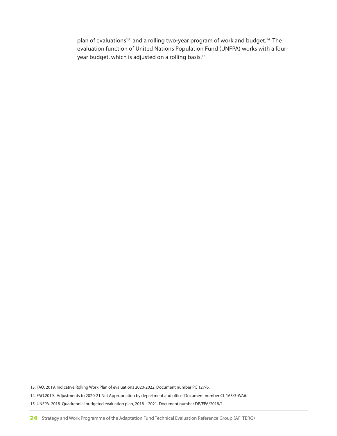plan of evaluations<sup>13</sup> and a rolling two-year program of work and budget.<sup>14</sup> The evaluation function of United Nations Population Fund (UNFPA) works with a fouryear budget, which is adjusted on a rolling basis.<sup>15</sup>

13. FAO. 2019. Indicative Rolling Work Plan of evaluations 2020-2022. Document number PC 127/6. 14. FAO.2019. Adjustments to 2020-21 Net Appropriation by department and office. Document number CL 163/3-WA6.

15. UNFPA. 2018. Quadrennial budgeted evaluation plan, 2018 – 2021. Document number DP/FPA/2018/1.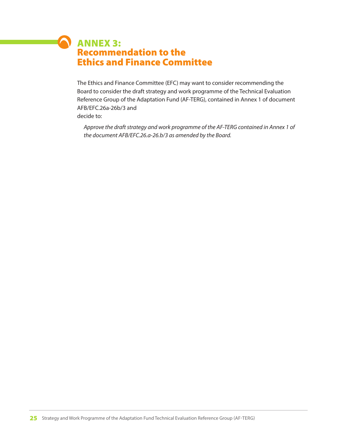### Recommendation to the Ethics and Finance Committee ANNEX 3:

 $\sqrt{2}$ 

The Ethics and Finance Committee (EFC) may want to consider recommending the Board to consider the draft strategy and work programme of the Technical Evaluation Reference Group of the Adaptation Fund (AF-TERG), contained in Annex 1 of document AFB/EFC.26a-26b/3 and decide to:

*Approve the draft strategy and work programme of the AF-TERG contained in Annex 1 of the document AFB/EFC.26.a-26.b/3 as amended by the Board.*